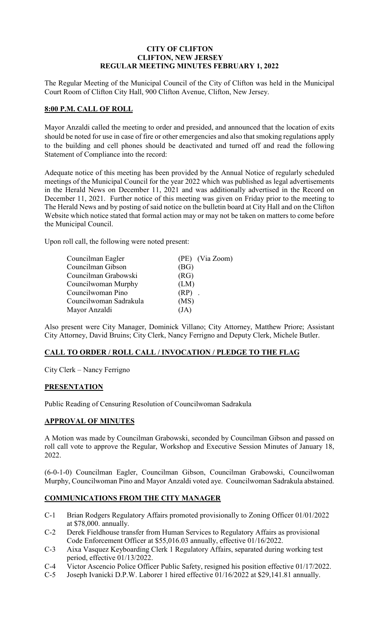# **CITY OF CLIFTON CLIFTON, NEW JERSEY REGULAR MEETING MINUTES FEBRUARY 1, 2022**

The Regular Meeting of the Municipal Council of the City of Clifton was held in the Municipal Court Room of Clifton City Hall, 900 Clifton Avenue, Clifton, New Jersey.

## **8:00 P.M. CALL OF ROLL**

Mayor Anzaldi called the meeting to order and presided, and announced that the location of exits should be noted for use in case of fire or other emergencies and also that smoking regulations apply to the building and cell phones should be deactivated and turned off and read the following Statement of Compliance into the record:

Adequate notice of this meeting has been provided by the Annual Notice of regularly scheduled meetings of the Municipal Council for the year 2022 which was published as legal advertisements in the Herald News on December 11, 2021 and was additionally advertised in the Record on December 11, 2021. Further notice of this meeting was given on Friday prior to the meeting to The Herald News and by posting of said notice on the bulletin board at City Hall and on the Clifton Website which notice stated that formal action may or may not be taken on matters to come before the Municipal Council.

Upon roll call, the following were noted present:

| (PE) (Via Zoom) |
|-----------------|
| (BG)            |
| (RG)            |
| (LM)            |
| $(RP)$ .        |
| (MS)            |
| (JA)            |
|                 |

Also present were City Manager, Dominick Villano; City Attorney, Matthew Priore; Assistant City Attorney, David Bruins; City Clerk, Nancy Ferrigno and Deputy Clerk, Michele Butler.

## **CALL TO ORDER / ROLL CALL / INVOCATION / PLEDGE TO THE FLAG**

City Clerk – Nancy Ferrigno

## **PRESENTATION**

Public Reading of Censuring Resolution of Councilwoman Sadrakula

# **APPROVAL OF MINUTES**

A Motion was made by Councilman Grabowski, seconded by Councilman Gibson and passed on roll call vote to approve the Regular, Workshop and Executive Session Minutes of January 18, 2022.

(6-0-1-0) Councilman Eagler, Councilman Gibson, Councilman Grabowski, Councilwoman Murphy, Councilwoman Pino and Mayor Anzaldi voted aye. Councilwoman Sadrakula abstained.

# **COMMUNICATIONS FROM THE CITY MANAGER**

- C-1 Brian Rodgers Regulatory Affairs promoted provisionally to Zoning Officer 01/01/2022 at \$78,000. annually.
- C-2 Derek Fieldhouse transfer from Human Services to Regulatory Affairs as provisional Code Enforcement Officer at \$55,016.03 annually, effective 01/16/2022.
- C-3 Aixa Vasquez Keyboarding Clerk 1 Regulatory Affairs, separated during working test period, effective 01/13/2022.
- C-4 Victor Ascencio Police Officer Public Safety, resigned his position effective 01/17/2022.
- C-5 Joseph Ivanicki D.P.W. Laborer 1 hired effective 01/16/2022 at \$29,141.81 annually.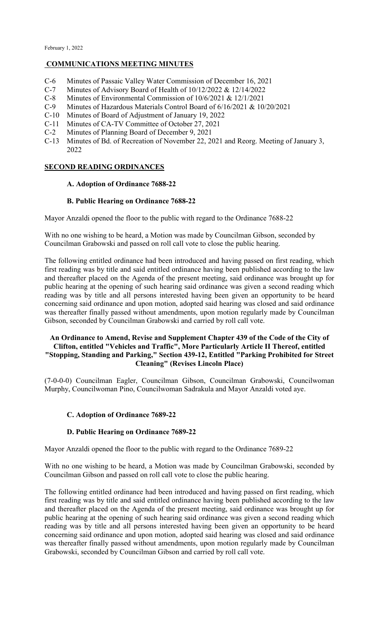#### **COMMUNICATIONS MEETING MINUTES**

- C-6 Minutes of Passaic Valley Water Commission of December 16, 2021
- C-7 Minutes of Advisory Board of Health of 10/12/2022 & 12/14/2022
- C-8 Minutes of Environmental Commission of 10/6/2021 & 12/1/2021<br>C-9 Minutes of Hazardous Materials Control Board of 6/16/2021 & 10
- Minutes of Hazardous Materials Control Board of 6/16/2021 & 10/20/2021
- C-10 Minutes of Board of Adjustment of January 19, 2022
- C-11 Minutes of CA-TV Committee of October 27, 2021
- C-2 Minutes of Planning Board of December 9, 2021
- C-13 Minutes of Bd. of Recreation of November 22, 2021 and Reorg. Meeting of January 3, 2022

# **SECOND READING ORDINANCES**

#### **A. Adoption of Ordinance 7688-22**

#### **B. Public Hearing on Ordinance 7688-22**

Mayor Anzaldi opened the floor to the public with regard to the Ordinance 7688-22

With no one wishing to be heard, a Motion was made by Councilman Gibson, seconded by Councilman Grabowski and passed on roll call vote to close the public hearing.

The following entitled ordinance had been introduced and having passed on first reading, which first reading was by title and said entitled ordinance having been published according to the law and thereafter placed on the Agenda of the present meeting, said ordinance was brought up for public hearing at the opening of such hearing said ordinance was given a second reading which reading was by title and all persons interested having been given an opportunity to be heard concerning said ordinance and upon motion, adopted said hearing was closed and said ordinance was thereafter finally passed without amendments, upon motion regularly made by Councilman Gibson, seconded by Councilman Grabowski and carried by roll call vote.

## **An Ordinance to Amend, Revise and Supplement Chapter 439 of the Code of the City of Clifton, entitled "Vehicles and Traffic", More Particularly Article II Thereof, entitled "Stopping, Standing and Parking," Section 439-12, Entitled "Parking Prohibited for Street Cleaning" (Revises Lincoln Place)**

(7-0-0-0) Councilman Eagler, Councilman Gibson, Councilman Grabowski, Councilwoman Murphy, Councilwoman Pino, Councilwoman Sadrakula and Mayor Anzaldi voted aye.

## **C. Adoption of Ordinance 7689-22**

## **D. Public Hearing on Ordinance 7689-22**

Mayor Anzaldi opened the floor to the public with regard to the Ordinance 7689-22

With no one wishing to be heard, a Motion was made by Councilman Grabowski, seconded by Councilman Gibson and passed on roll call vote to close the public hearing.

The following entitled ordinance had been introduced and having passed on first reading, which first reading was by title and said entitled ordinance having been published according to the law and thereafter placed on the Agenda of the present meeting, said ordinance was brought up for public hearing at the opening of such hearing said ordinance was given a second reading which reading was by title and all persons interested having been given an opportunity to be heard concerning said ordinance and upon motion, adopted said hearing was closed and said ordinance was thereafter finally passed without amendments, upon motion regularly made by Councilman Grabowski, seconded by Councilman Gibson and carried by roll call vote.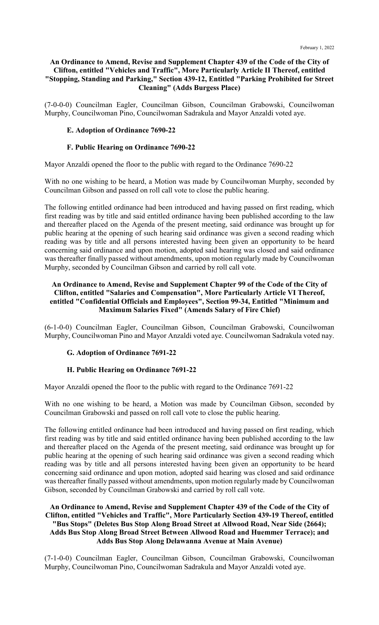## **An Ordinance to Amend, Revise and Supplement Chapter 439 of the Code of the City of Clifton, entitled "Vehicles and Traffic", More Particularly Article II Thereof, entitled "Stopping, Standing and Parking," Section 439-12, Entitled "Parking Prohibited for Street Cleaning" (Adds Burgess Place)**

(7-0-0-0) Councilman Eagler, Councilman Gibson, Councilman Grabowski, Councilwoman Murphy, Councilwoman Pino, Councilwoman Sadrakula and Mayor Anzaldi voted aye.

## **E. Adoption of Ordinance 7690-22**

## **F. Public Hearing on Ordinance 7690-22**

Mayor Anzaldi opened the floor to the public with regard to the Ordinance 7690-22

With no one wishing to be heard, a Motion was made by Councilwoman Murphy, seconded by Councilman Gibson and passed on roll call vote to close the public hearing.

The following entitled ordinance had been introduced and having passed on first reading, which first reading was by title and said entitled ordinance having been published according to the law and thereafter placed on the Agenda of the present meeting, said ordinance was brought up for public hearing at the opening of such hearing said ordinance was given a second reading which reading was by title and all persons interested having been given an opportunity to be heard concerning said ordinance and upon motion, adopted said hearing was closed and said ordinance was thereafter finally passed without amendments, upon motion regularly made by Councilwoman Murphy, seconded by Councilman Gibson and carried by roll call vote.

### **An Ordinance to Amend, Revise and Supplement Chapter 99 of the Code of the City of Clifton, entitled "Salaries and Compensation", More Particularly Article VI Thereof, entitled "Confidential Officials and Employees", Section 99-34, Entitled "Minimum and Maximum Salaries Fixed" (Amends Salary of Fire Chief)**

(6-1-0-0) Councilman Eagler, Councilman Gibson, Councilman Grabowski, Councilwoman Murphy, Councilwoman Pino and Mayor Anzaldi voted aye. Councilwoman Sadrakula voted nay.

## **G. Adoption of Ordinance 7691-22**

## **H. Public Hearing on Ordinance 7691-22**

Mayor Anzaldi opened the floor to the public with regard to the Ordinance 7691-22

With no one wishing to be heard, a Motion was made by Councilman Gibson, seconded by Councilman Grabowski and passed on roll call vote to close the public hearing.

The following entitled ordinance had been introduced and having passed on first reading, which first reading was by title and said entitled ordinance having been published according to the law and thereafter placed on the Agenda of the present meeting, said ordinance was brought up for public hearing at the opening of such hearing said ordinance was given a second reading which reading was by title and all persons interested having been given an opportunity to be heard concerning said ordinance and upon motion, adopted said hearing was closed and said ordinance was thereafter finally passed without amendments, upon motion regularly made by Councilwoman Gibson, seconded by Councilman Grabowski and carried by roll call vote.

## **An Ordinance to Amend, Revise and Supplement Chapter 439 of the Code of the City of Clifton, entitled "Vehicles and Traffic", More Particularly Section 439-19 Thereof, entitled "Bus Stops" (Deletes Bus Stop Along Broad Street at Allwood Road, Near Side (2664); Adds Bus Stop Along Broad Street Between Allwood Road and Huemmer Terrace); and Adds Bus Stop Along Delawanna Avenue at Main Avenue)**

(7-1-0-0) Councilman Eagler, Councilman Gibson, Councilman Grabowski, Councilwoman Murphy, Councilwoman Pino, Councilwoman Sadrakula and Mayor Anzaldi voted aye.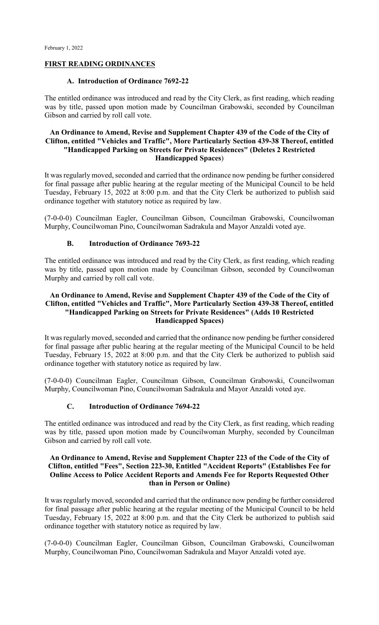#### **FIRST READING ORDINANCES**

#### **A. Introduction of Ordinance 7692-22**

The entitled ordinance was introduced and read by the City Clerk, as first reading, which reading was by title, passed upon motion made by Councilman Grabowski, seconded by Councilman Gibson and carried by roll call vote.

### **An Ordinance to Amend, Revise and Supplement Chapter 439 of the Code of the City of Clifton, entitled "Vehicles and Traffic", More Particularly Section 439-38 Thereof, entitled "Handicapped Parking on Streets for Private Residences" (Deletes 2 Restricted Handicapped Spaces**)

It was regularly moved, seconded and carried that the ordinance now pending be further considered for final passage after public hearing at the regular meeting of the Municipal Council to be held Tuesday, February 15, 2022 at 8:00 p.m. and that the City Clerk be authorized to publish said ordinance together with statutory notice as required by law.

(7-0-0-0) Councilman Eagler, Councilman Gibson, Councilman Grabowski, Councilwoman Murphy, Councilwoman Pino, Councilwoman Sadrakula and Mayor Anzaldi voted aye.

#### **B. Introduction of Ordinance 7693-22**

The entitled ordinance was introduced and read by the City Clerk, as first reading, which reading was by title, passed upon motion made by Councilman Gibson, seconded by Councilwoman Murphy and carried by roll call vote.

### **An Ordinance to Amend, Revise and Supplement Chapter 439 of the Code of the City of Clifton, entitled "Vehicles and Traffic", More Particularly Section 439-38 Thereof, entitled "Handicapped Parking on Streets for Private Residences" (Adds 10 Restricted Handicapped Spaces)**

It was regularly moved, seconded and carried that the ordinance now pending be further considered for final passage after public hearing at the regular meeting of the Municipal Council to be held Tuesday, February 15, 2022 at 8:00 p.m. and that the City Clerk be authorized to publish said ordinance together with statutory notice as required by law.

(7-0-0-0) Councilman Eagler, Councilman Gibson, Councilman Grabowski, Councilwoman Murphy, Councilwoman Pino, Councilwoman Sadrakula and Mayor Anzaldi voted aye.

#### **C. Introduction of Ordinance 7694-22**

The entitled ordinance was introduced and read by the City Clerk, as first reading, which reading was by title, passed upon motion made by Councilwoman Murphy, seconded by Councilman Gibson and carried by roll call vote.

### **An Ordinance to Amend, Revise and Supplement Chapter 223 of the Code of the City of Clifton, entitled "Fees", Section 223-30, Entitled "Accident Reports" (Establishes Fee for Online Access to Police Accident Reports and Amends Fee for Reports Requested Other than in Person or Online)**

It was regularly moved, seconded and carried that the ordinance now pending be further considered for final passage after public hearing at the regular meeting of the Municipal Council to be held Tuesday, February 15, 2022 at 8:00 p.m. and that the City Clerk be authorized to publish said ordinance together with statutory notice as required by law.

(7-0-0-0) Councilman Eagler, Councilman Gibson, Councilman Grabowski, Councilwoman Murphy, Councilwoman Pino, Councilwoman Sadrakula and Mayor Anzaldi voted aye.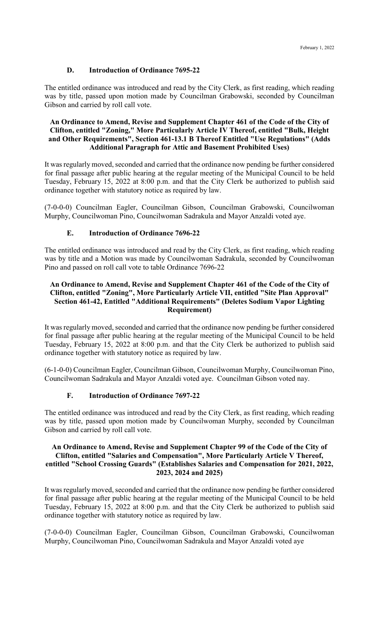# **D. Introduction of Ordinance 7695-22**

The entitled ordinance was introduced and read by the City Clerk, as first reading, which reading was by title, passed upon motion made by Councilman Grabowski, seconded by Councilman Gibson and carried by roll call vote.

### **An Ordinance to Amend, Revise and Supplement Chapter 461 of the Code of the City of Clifton, entitled "Zoning," More Particularly Article IV Thereof, entitled "Bulk, Height and Other Requirements", Section 461-13.1 B Thereof Entitled "Use Regulations" (Adds Additional Paragraph for Attic and Basement Prohibited Uses)**

It was regularly moved, seconded and carried that the ordinance now pending be further considered for final passage after public hearing at the regular meeting of the Municipal Council to be held Tuesday, February 15, 2022 at 8:00 p.m. and that the City Clerk be authorized to publish said ordinance together with statutory notice as required by law.

(7-0-0-0) Councilman Eagler, Councilman Gibson, Councilman Grabowski, Councilwoman Murphy, Councilwoman Pino, Councilwoman Sadrakula and Mayor Anzaldi voted aye.

## **E. Introduction of Ordinance 7696-22**

The entitled ordinance was introduced and read by the City Clerk, as first reading, which reading was by title and a Motion was made by Councilwoman Sadrakula, seconded by Councilwoman Pino and passed on roll call vote to table Ordinance 7696-22

## **An Ordinance to Amend, Revise and Supplement Chapter 461 of the Code of the City of Clifton, entitled "Zoning", More Particularly Article VII, entitled "Site Plan Approval" Section 461-42, Entitled "Additional Requirements" (Deletes Sodium Vapor Lighting Requirement)**

It was regularly moved, seconded and carried that the ordinance now pending be further considered for final passage after public hearing at the regular meeting of the Municipal Council to be held Tuesday, February 15, 2022 at 8:00 p.m. and that the City Clerk be authorized to publish said ordinance together with statutory notice as required by law.

(6-1-0-0) Councilman Eagler, Councilman Gibson, Councilwoman Murphy, Councilwoman Pino, Councilwoman Sadrakula and Mayor Anzaldi voted aye. Councilman Gibson voted nay.

## **F. Introduction of Ordinance 7697-22**

The entitled ordinance was introduced and read by the City Clerk, as first reading, which reading was by title, passed upon motion made by Councilwoman Murphy, seconded by Councilman Gibson and carried by roll call vote.

### **An Ordinance to Amend, Revise and Supplement Chapter 99 of the Code of the City of Clifton, entitled "Salaries and Compensation", More Particularly Article V Thereof, entitled "School Crossing Guards" (Establishes Salaries and Compensation for 2021, 2022, 2023, 2024 and 2025)**

It was regularly moved, seconded and carried that the ordinance now pending be further considered for final passage after public hearing at the regular meeting of the Municipal Council to be held Tuesday, February 15, 2022 at 8:00 p.m. and that the City Clerk be authorized to publish said ordinance together with statutory notice as required by law.

(7-0-0-0) Councilman Eagler, Councilman Gibson, Councilman Grabowski, Councilwoman Murphy, Councilwoman Pino, Councilwoman Sadrakula and Mayor Anzaldi voted aye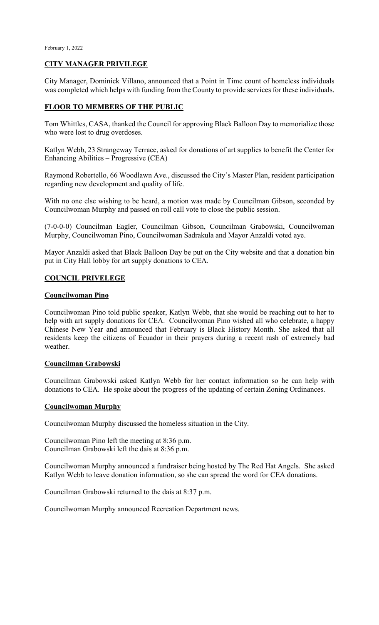## **CITY MANAGER PRIVILEGE**

City Manager, Dominick Villano, announced that a Point in Time count of homeless individuals was completed which helps with funding from the County to provide services for these individuals.

### **FLOOR TO MEMBERS OF THE PUBLIC**

Tom Whittles, CASA, thanked the Council for approving Black Balloon Day to memorialize those who were lost to drug overdoses.

Katlyn Webb, 23 Strangeway Terrace, asked for donations of art supplies to benefit the Center for Enhancing Abilities – Progressive (CEA)

Raymond Robertello, 66 Woodlawn Ave., discussed the City's Master Plan, resident participation regarding new development and quality of life.

With no one else wishing to be heard, a motion was made by Councilman Gibson, seconded by Councilwoman Murphy and passed on roll call vote to close the public session.

(7-0-0-0) Councilman Eagler, Councilman Gibson, Councilman Grabowski, Councilwoman Murphy, Councilwoman Pino, Councilwoman Sadrakula and Mayor Anzaldi voted aye.

Mayor Anzaldi asked that Black Balloon Day be put on the City website and that a donation bin put in City Hall lobby for art supply donations to CEA.

## **COUNCIL PRIVELEGE**

#### **Councilwoman Pino**

Councilwoman Pino told public speaker, Katlyn Webb, that she would be reaching out to her to help with art supply donations for CEA. Councilwoman Pino wished all who celebrate, a happy Chinese New Year and announced that February is Black History Month. She asked that all residents keep the citizens of Ecuador in their prayers during a recent rash of extremely bad weather.

#### **Councilman Grabowski**

Councilman Grabowski asked Katlyn Webb for her contact information so he can help with donations to CEA. He spoke about the progress of the updating of certain Zoning Ordinances.

#### **Councilwoman Murphy**

Councilwoman Murphy discussed the homeless situation in the City.

Councilwoman Pino left the meeting at 8:36 p.m. Councilman Grabowski left the dais at 8:36 p.m.

Councilwoman Murphy announced a fundraiser being hosted by The Red Hat Angels. She asked Katlyn Webb to leave donation information, so she can spread the word for CEA donations.

Councilman Grabowski returned to the dais at 8:37 p.m.

Councilwoman Murphy announced Recreation Department news.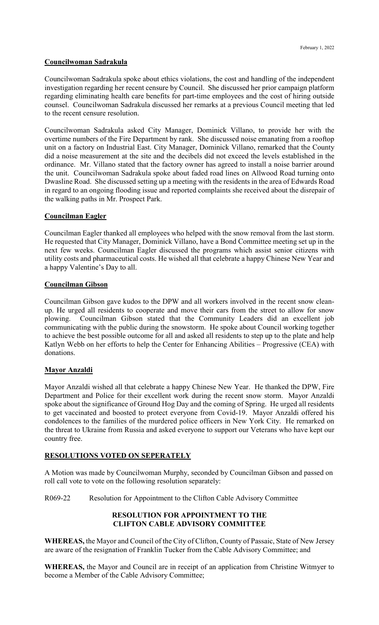### **Councilwoman Sadrakula**

Councilwoman Sadrakula spoke about ethics violations, the cost and handling of the independent investigation regarding her recent censure by Council. She discussed her prior campaign platform regarding eliminating health care benefits for part-time employees and the cost of hiring outside counsel. Councilwoman Sadrakula discussed her remarks at a previous Council meeting that led to the recent censure resolution.

Councilwoman Sadrakula asked City Manager, Dominick Villano, to provide her with the overtime numbers of the Fire Department by rank. She discussed noise emanating from a rooftop unit on a factory on Industrial East. City Manager, Dominick Villano, remarked that the County did a noise measurement at the site and the decibels did not exceed the levels established in the ordinance. Mr. Villano stated that the factory owner has agreed to install a noise barrier around the unit. Councilwoman Sadrakula spoke about faded road lines on Allwood Road turning onto Dwasline Road. She discussed setting up a meeting with the residents in the area of Edwards Road in regard to an ongoing flooding issue and reported complaints she received about the disrepair of the walking paths in Mr. Prospect Park.

## **Councilman Eagler**

Councilman Eagler thanked all employees who helped with the snow removal from the last storm. He requested that City Manager, Dominick Villano, have a Bond Committee meeting set up in the next few weeks. Councilman Eagler discussed the programs which assist senior citizens with utility costs and pharmaceutical costs. He wished all that celebrate a happy Chinese New Year and a happy Valentine's Day to all.

#### **Councilman Gibson**

Councilman Gibson gave kudos to the DPW and all workers involved in the recent snow cleanup. He urged all residents to cooperate and move their cars from the street to allow for snow plowing. Councilman Gibson stated that the Community Leaders did an excellent job communicating with the public during the snowstorm. He spoke about Council working together to achieve the best possible outcome for all and asked all residents to step up to the plate and help Katlyn Webb on her efforts to help the Center for Enhancing Abilities – Progressive (CEA) with donations.

## **Mayor Anzaldi**

Mayor Anzaldi wished all that celebrate a happy Chinese New Year. He thanked the DPW, Fire Department and Police for their excellent work during the recent snow storm. Mayor Anzaldi spoke about the significance of Ground Hog Day and the coming of Spring. He urged all residents to get vaccinated and boosted to protect everyone from Covid-19. Mayor Anzaldi offered his condolences to the families of the murdered police officers in New York City. He remarked on the threat to Ukraine from Russia and asked everyone to support our Veterans who have kept our country free.

## **RESOLUTIONS VOTED ON SEPERATELY**

A Motion was made by Councilwoman Murphy, seconded by Councilman Gibson and passed on roll call vote to vote on the following resolution separately:

R069-22 Resolution for Appointment to the Clifton Cable Advisory Committee

# **RESOLUTION FOR APPOINTMENT TO THE CLIFTON CABLE ADVISORY COMMITTEE**

**WHEREAS,** the Mayor and Council of the City of Clifton, County of Passaic, State of New Jersey are aware of the resignation of Franklin Tucker from the Cable Advisory Committee; and

**WHEREAS,** the Mayor and Council are in receipt of an application from Christine Witmyer to become a Member of the Cable Advisory Committee;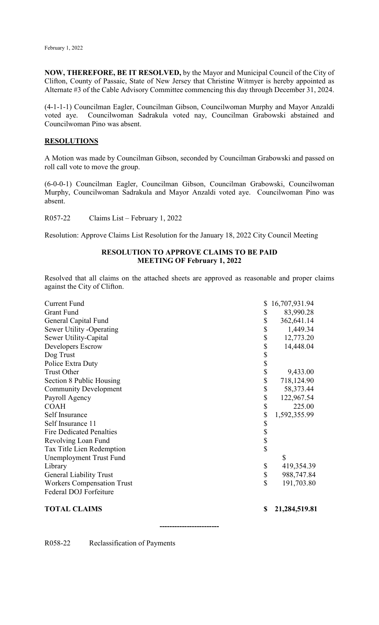**NOW, THEREFORE, BE IT RESOLVED,** by the Mayor and Municipal Council of the City of Clifton, County of Passaic, State of New Jersey that Christine Witmyer is hereby appointed as Alternate #3 of the Cable Advisory Committee commencing this day through December 31, 2024.

(4-1-1-1) Councilman Eagler, Councilman Gibson, Councilwoman Murphy and Mayor Anzaldi voted aye. Councilwoman Sadrakula voted nay, Councilman Grabowski abstained and Councilwoman Pino was absent.

#### **RESOLUTIONS**

A Motion was made by Councilman Gibson, seconded by Councilman Grabowski and passed on roll call vote to move the group.

(6-0-0-1) Councilman Eagler, Councilman Gibson, Councilman Grabowski, Councilwoman Murphy, Councilwoman Sadrakula and Mayor Anzaldi voted aye. Councilwoman Pino was absent.

R057-22 Claims List – February 1, 2022

Resolution: Approve Claims List Resolution for the January 18, 2022 City Council Meeting

#### **RESOLUTION TO APPROVE CLAIMS TO BE PAID MEETING OF February 1, 2022**

Resolved that all claims on the attached sheets are approved as reasonable and proper claims against the City of Clifton.

| <b>Current Fund</b>               | \$                      | 16,707,931.94 |
|-----------------------------------|-------------------------|---------------|
| <b>Grant Fund</b>                 | \$                      | 83,990.28     |
| General Capital Fund              | \$                      | 362,641.14    |
| Sewer Utility -Operating          | \$                      | 1,449.34      |
| Sewer Utility-Capital             | \$                      | 12,773.20     |
| Developers Escrow                 | \$                      | 14,448.04     |
| Dog Trust                         |                         |               |
| Police Extra Duty                 | $\frac{1}{3}$           |               |
| <b>Trust Other</b>                | \$                      | 9,433.00      |
| Section 8 Public Housing          | \$                      | 718,124.90    |
| <b>Community Development</b>      | \$                      | 58, 373. 44   |
| Payroll Agency                    | \$                      | 122,967.54    |
| <b>COAH</b>                       | \$                      | 225.00        |
| Self Insurance                    | \$                      | 1,592,355.99  |
| Self Insurance 11                 |                         |               |
| <b>Fire Dedicated Penalties</b>   | \$\$\$\$                |               |
| Revolving Loan Fund               |                         |               |
| Tax Title Lien Redemption         |                         |               |
| <b>Unemployment Trust Fund</b>    |                         | \$            |
| Library                           | \$                      | 419,354.39    |
| <b>General Liability Trust</b>    | \$                      | 988,747.84    |
| <b>Workers Compensation Trust</b> | $\overline{\mathbb{S}}$ | 191,703.80    |
| Federal DOJ Forfeiture            |                         |               |
| <b>TOTAL CLAIMS</b>               | \$                      | 21,284,519.81 |

**------------------------**

R058-22 Reclassification of Payments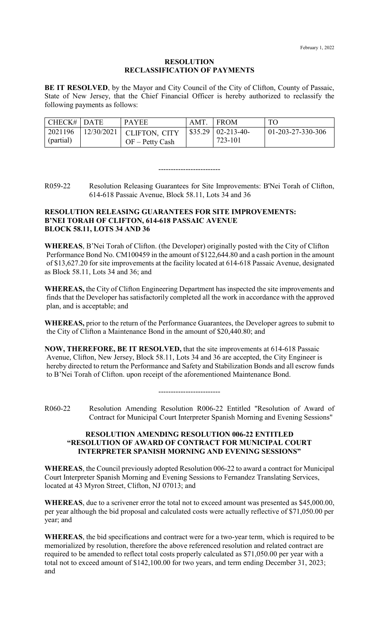#### **RESOLUTION RECLASSIFICATION OF PAYMENTS**

**BE IT RESOLVED**, by the Mayor and City Council of the City of Clifton, County of Passaic, State of New Jersey, that the Chief Financial Officer is hereby authorized to reclassify the following payments as follows:

| $CHECK#$ DATE    | <b>PAYEE</b>                      | AMT. | <b>I FROM</b>                | <b>TO</b>            |
|------------------|-----------------------------------|------|------------------------------|----------------------|
| 2021196          | $\Box$ 12/30/2021   CLIFTON, CITY |      | $\vert$ \$35.29   02-213-40- | $ 01-203-27-330-306$ |
| $\int$ (partial) | $OF - Petty Cash$                 |      | 723-101                      |                      |

R059-22 Resolution Releasing Guarantees for Site Improvements: B'Nei Torah of Clifton, 614-618 Passaic Avenue, Block 58.11, Lots 34 and 36

-------------------------

#### **RESOLUTION RELEASING GUARANTEES FOR SITE IMPROVEMENTS: B'NEI TORAH OF CLIFTON, 614-618 PASSAIC AVENUE BLOCK 58.11, LOTS 34 AND 36**

**WHEREAS**, B'Nei Torah of Clifton. (the Developer) originally posted with the City of Clifton Performance Bond No. CM100459 in the amount of \$122,644.80 and a cash portion in the amount of \$13,627.20 for site improvements at the facility located at 614-618 Passaic Avenue, designated as Block 58.11, Lots 34 and 36; and

**WHEREAS,** the City of Clifton Engineering Department has inspected the site improvements and finds that the Developer has satisfactorily completed all the work in accordance with the approved plan, and is acceptable; and

**WHEREAS,** prior to the return of the Performance Guarantees, the Developer agrees to submit to the City of Clifton a Maintenance Bond in the amount of \$20,440.80; and

**NOW, THEREFORE, BE IT RESOLVED,** that the site improvements at 614-618 Passaic Avenue, Clifton, New Jersey, Block 58.11, Lots 34 and 36 are accepted, the City Engineer is hereby directed to return the Performance and Safety and Stabilization Bonds and all escrow funds to B'Nei Torah of Clifton. upon receipt of the aforementioned Maintenance Bond.

-------------------------

R060-22 Resolution Amending Resolution R006-22 Entitled "Resolution of Award of Contract for Municipal Court Interpreter Spanish Morning and Evening Sessions"

### **RESOLUTION AMENDING RESOLUTION 006-22 ENTITLED "RESOLUTION OF AWARD OF CONTRACT FOR MUNICIPAL COURT INTERPRETER SPANISH MORNING AND EVENING SESSIONS"**

**WHEREAS**, the Council previously adopted Resolution 006-22 to award a contract for Municipal Court Interpreter Spanish Morning and Evening Sessions to Fernandez Translating Services, located at 43 Myron Street, Clifton, NJ 07013; and

**WHEREAS**, due to a scrivener error the total not to exceed amount was presented as \$45,000.00, per year although the bid proposal and calculated costs were actually reflective of \$71,050.00 per year; and

**WHEREAS**, the bid specifications and contract were for a two-year term, which is required to be memorialized by resolution, therefore the above referenced resolution and related contract are required to be amended to reflect total costs properly calculated as \$71,050.00 per year with a total not to exceed amount of \$142,100.00 for two years, and term ending December 31, 2023; and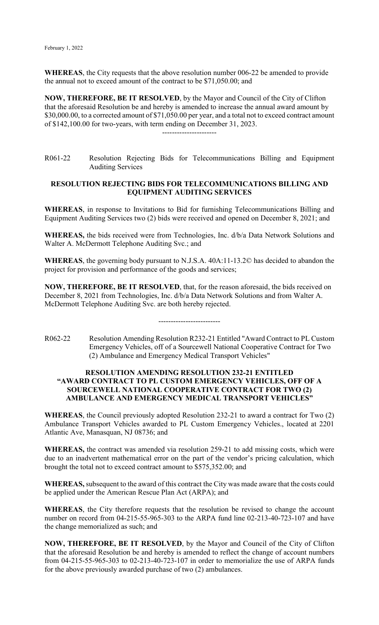**WHEREAS**, the City requests that the above resolution number 006-22 be amended to provide the annual not to exceed amount of the contract to be \$71,050.00; and

**NOW, THEREFORE, BE IT RESOLVED**, by the Mayor and Council of the City of Clifton that the aforesaid Resolution be and hereby is amended to increase the annual award amount by \$30,000.00, to a corrected amount of \$71,050.00 per year, and a total not to exceed contract amount of \$142,100.00 for two-years, with term ending on December 31, 2023. ----------------------

R061-22 Resolution Rejecting Bids for Telecommunications Billing and Equipment Auditing Services

### **RESOLUTION REJECTING BIDS FOR TELECOMMUNICATIONS BILLING AND EQUIPMENT AUDITING SERVICES**

**WHEREAS**, in response to Invitations to Bid for furnishing Telecommunications Billing and Equipment Auditing Services two (2) bids were received and opened on December 8, 2021; and

**WHEREAS,** the bids received were from Technologies, Inc. d/b/a Data Network Solutions and Walter A. McDermott Telephone Auditing Svc.; and

**WHEREAS**, the governing body pursuant to N.J.S.A. 40A:11-13.2© has decided to abandon the project for provision and performance of the goods and services;

**NOW, THEREFORE, BE IT RESOLVED**, that, for the reason aforesaid, the bids received on December 8, 2021 from Technologies, Inc. d/b/a Data Network Solutions and from Walter A. McDermott Telephone Auditing Svc. are both hereby rejected.

-------------------------

R062-22 Resolution Amending Resolution R232-21 Entitled "Award Contract to PL Custom Emergency Vehicles, off of a Sourcewell National Cooperative Contract for Two (2) Ambulance and Emergency Medical Transport Vehicles"

### **RESOLUTION AMENDING RESOLUTION 232-21 ENTITLED "AWARD CONTRACT TO PL CUSTOM EMERGENCY VEHICLES, OFF OF A SOURCEWELL NATIONAL COOPERATIVE CONTRACT FOR TWO (2) AMBULANCE AND EMERGENCY MEDICAL TRANSPORT VEHICLES"**

**WHEREAS**, the Council previously adopted Resolution 232-21 to award a contract for Two (2) Ambulance Transport Vehicles awarded to PL Custom Emergency Vehicles., located at 2201 Atlantic Ave, Manasquan, NJ 08736; and

**WHEREAS,** the contract was amended via resolution 259-21 to add missing costs, which were due to an inadvertent mathematical error on the part of the vendor's pricing calculation, which brought the total not to exceed contract amount to \$575,352.00; and

**WHEREAS,** subsequent to the award of this contract the City was made aware that the costs could be applied under the American Rescue Plan Act (ARPA); and

**WHEREAS**, the City therefore requests that the resolution be revised to change the account number on record from 04-215-55-965-303 to the ARPA fund line 02-213-40-723-107 and have the change memorialized as such; and

**NOW, THEREFORE, BE IT RESOLVED**, by the Mayor and Council of the City of Clifton that the aforesaid Resolution be and hereby is amended to reflect the change of account numbers from 04-215-55-965-303 to 02-213-40-723-107 in order to memorialize the use of ARPA funds for the above previously awarded purchase of two (2) ambulances.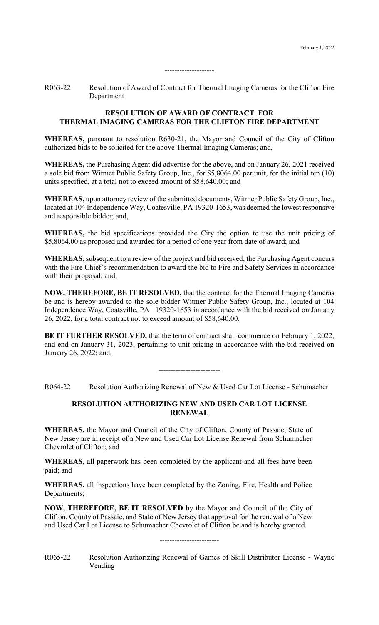R063-22 Resolution of Award of Contract for Thermal Imaging Cameras for the Clifton Fire Department

--------------------

## **RESOLUTION OF AWARD OF CONTRACT FOR THERMAL IMAGING CAMERAS FOR THE CLIFTON FIRE DEPARTMENT**

**WHEREAS,** pursuant to resolution R630-21, the Mayor and Council of the City of Clifton authorized bids to be solicited for the above Thermal Imaging Cameras; and,

**WHEREAS,** the Purchasing Agent did advertise for the above, and on January 26, 2021 received a sole bid from Witmer Public Safety Group, Inc., for \$5,8064.00 per unit, for the initial ten (10) units specified, at a total not to exceed amount of \$58,640.00; and

**WHEREAS,** upon attorney review of the submitted documents, Witmer Public Safety Group, Inc., located at 104 Independence Way, Coatesville, PA 19320-1653, was deemed the lowest responsive and responsible bidder; and,

**WHEREAS,** the bid specifications provided the City the option to use the unit pricing of \$5,8064.00 as proposed and awarded for a period of one year from date of award; and

**WHEREAS,** subsequent to a review of the project and bid received, the Purchasing Agent concurs with the Fire Chief's recommendation to award the bid to Fire and Safety Services in accordance with their proposal; and,

**NOW, THEREFORE, BE IT RESOLVED,** that the contract for the Thermal Imaging Cameras be and is hereby awarded to the sole bidder Witmer Public Safety Group, Inc., located at 104 Independence Way, Coatsville, PA 19320-1653 in accordance with the bid received on January 26, 2022, for a total contract not to exceed amount of \$58,640.00.

**BE IT FURTHER RESOLVED,** that the term of contract shall commence on February 1, 2022, and end on January 31, 2023, pertaining to unit pricing in accordance with the bid received on January 26, 2022; and,

-------------------------

R064-22 Resolution Authorizing Renewal of New & Used Car Lot License - Schumacher

# **RESOLUTION AUTHORIZING NEW AND USED CAR LOT LICENSE RENEWAL**

**WHEREAS,** the Mayor and Council of the City of Clifton, County of Passaic, State of New Jersey are in receipt of a New and Used Car Lot License Renewal from Schumacher Chevrolet of Clifton; and

**WHEREAS,** all paperwork has been completed by the applicant and all fees have been paid; and

**WHEREAS,** all inspections have been completed by the Zoning, Fire, Health and Police Departments;

**NOW, THEREFORE, BE IT RESOLVED** by the Mayor and Council of the City of Clifton, County of Passaic, and State of New Jersey that approval for the renewal of a New and Used Car Lot License to Schumacher Chevrolet of Clifton be and is hereby granted.

------------------------

R065-22 Resolution Authorizing Renewal of Games of Skill Distributor License - Wayne Vending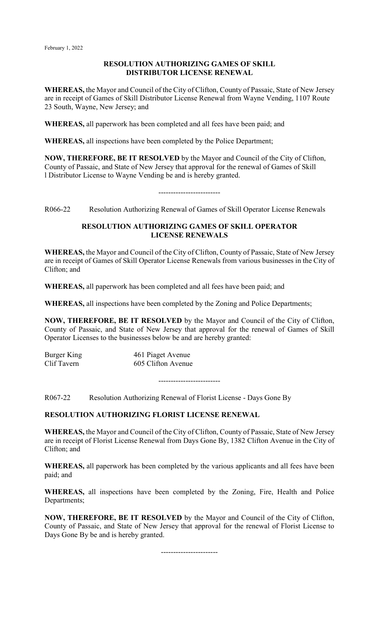### **RESOLUTION AUTHORIZING GAMES OF SKILL DISTRIBUTOR LICENSE RENEWAL**

**WHEREAS,** the Mayor and Council of the City of Clifton, County of Passaic, State of New Jersey are in receipt of Games of Skill Distributor License Renewal from Wayne Vending, 1107 Route 23 South, Wayne, New Jersey; and

**WHEREAS,** all paperwork has been completed and all fees have been paid; and

**WHEREAS,** all inspections have been completed by the Police Department;

**NOW, THEREFORE, BE IT RESOLVED** by the Mayor and Council of the City of Clifton, County of Passaic, and State of New Jersey that approval for the renewal of Games of Skill l Distributor License to Wayne Vending be and is hereby granted.

# -------------------------

R066-22 Resolution Authorizing Renewal of Games of Skill Operator License Renewals

### **RESOLUTION AUTHORIZING GAMES OF SKILL OPERATOR LICENSE RENEWALS**

**WHEREAS,** the Mayor and Council of the City of Clifton, County of Passaic, State of New Jersey are in receipt of Games of Skill Operator License Renewals from various businesses in the City of Clifton; and

**WHEREAS,** all paperwork has been completed and all fees have been paid; and

**WHEREAS,** all inspections have been completed by the Zoning and Police Departments;

**NOW, THEREFORE, BE IT RESOLVED** by the Mayor and Council of the City of Clifton, County of Passaic, and State of New Jersey that approval for the renewal of Games of Skill Operator Licenses to the businesses below be and are hereby granted:

Burger King 161 Piaget Avenue<br>Clif Tavern 1605 Clifton Avenue 605 Clifton Avenue

-------------------------

R067-22 Resolution Authorizing Renewal of Florist License - Days Gone By

# **RESOLUTION AUTHORIZING FLORIST LICENSE RENEWAL**

**WHEREAS,** the Mayor and Council of the City of Clifton, County of Passaic, State of New Jersey are in receipt of Florist License Renewal from Days Gone By, 1382 Clifton Avenue in the City of Clifton; and

**WHEREAS,** all paperwork has been completed by the various applicants and all fees have been paid; and

**WHEREAS,** all inspections have been completed by the Zoning, Fire, Health and Police Departments;

**NOW, THEREFORE, BE IT RESOLVED** by the Mayor and Council of the City of Clifton, County of Passaic, and State of New Jersey that approval for the renewal of Florist License to Days Gone By be and is hereby granted.

-----------------------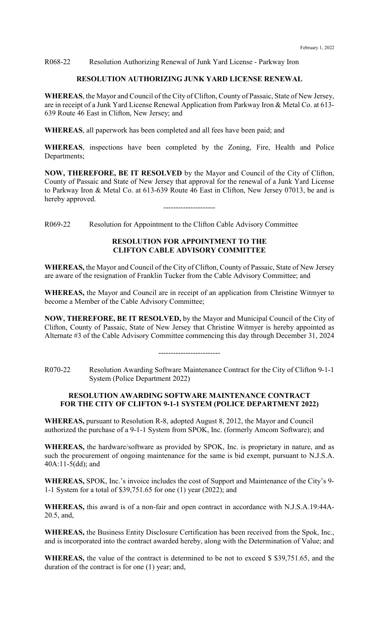R068-22 Resolution Authorizing Renewal of Junk Yard License - Parkway Iron

### **RESOLUTION AUTHORIZING JUNK YARD LICENSE RENEWAL**

**WHEREAS**, the Mayor and Council of the City of Clifton, County of Passaic, State of New Jersey, are in receipt of a Junk Yard License Renewal Application from Parkway Iron & Metal Co. at 613- 639 Route 46 East in Clifton, New Jersey; and

**WHEREAS**, all paperwork has been completed and all fees have been paid; and

**WHEREAS**, inspections have been completed by the Zoning, Fire, Health and Police Departments;

**NOW, THEREFORE, BE IT RESOLVED** by the Mayor and Council of the City of Clifton, County of Passaic and State of New Jersey that approval for the renewal of a Junk Yard License to Parkway Iron & Metal Co. at 613-639 Route 46 East in Clifton, New Jersey 07013, be and is hereby approved.

---------------------

R069-22 Resolution for Appointment to the Clifton Cable Advisory Committee

### **RESOLUTION FOR APPOINTMENT TO THE CLIFTON CABLE ADVISORY COMMITTEE**

**WHEREAS,** the Mayor and Council of the City of Clifton, County of Passaic, State of New Jersey are aware of the resignation of Franklin Tucker from the Cable Advisory Committee; and

**WHEREAS,** the Mayor and Council are in receipt of an application from Christine Witmyer to become a Member of the Cable Advisory Committee;

**NOW, THEREFORE, BE IT RESOLVED,** by the Mayor and Municipal Council of the City of Clifton, County of Passaic, State of New Jersey that Christine Witmyer is hereby appointed as Alternate #3 of the Cable Advisory Committee commencing this day through December 31, 2024

-------------------------

R070-22 Resolution Awarding Software Maintenance Contract for the City of Clifton 9-1-1 System (Police Department 2022)

#### **RESOLUTION AWARDING SOFTWARE MAINTENANCE CONTRACT FOR THE CITY OF CLIFTON 9-1-1 SYSTEM (POLICE DEPARTMENT 2022)**

**WHEREAS,** pursuant to Resolution R-8, adopted August 8, 2012, the Mayor and Council authorized the purchase of a 9-1-1 System from SPOK, Inc. (formerly Amcom Software); and

**WHEREAS,** the hardware/software as provided by SPOK, Inc. is proprietary in nature, and as such the procurement of ongoing maintenance for the same is bid exempt, pursuant to N.J.S.A. 40A:11-5(dd); and

**WHEREAS,** SPOK, Inc.'s invoice includes the cost of Support and Maintenance of the City's 9- 1-1 System for a total of \$39,751.65 for one (1) year (2022); and

**WHEREAS,** this award is of a non-fair and open contract in accordance with N.J.S.A.19:44A-20.5, and,

**WHEREAS,** the Business Entity Disclosure Certification has been received from the Spok, Inc., and is incorporated into the contract awarded hereby, along with the Determination of Value; and

**WHEREAS,** the value of the contract is determined to be not to exceed \$ \$39,751.65, and the duration of the contract is for one (1) year; and,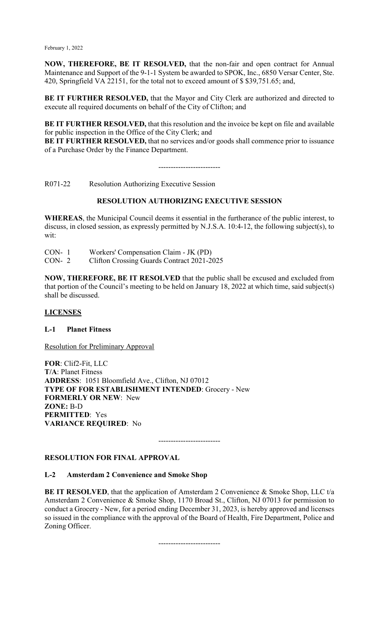**NOW, THEREFORE, BE IT RESOLVED,** that the non-fair and open contract for Annual Maintenance and Support of the 9-1-1 System be awarded to SPOK, Inc., 6850 Versar Center, Ste. 420, Springfield VA 22151, for the total not to exceed amount of \$ \$39,751.65; and,

BE IT FURTHER RESOLVED, that the Mayor and City Clerk are authorized and directed to execute all required documents on behalf of the City of Clifton; and

**BE IT FURTHER RESOLVED,** that this resolution and the invoice be kept on file and available for public inspection in the Office of the City Clerk; and

**BE IT FURTHER RESOLVED,** that no services and/or goods shall commence prior to issuance of a Purchase Order by the Finance Department.

-------------------------

R071-22 Resolution Authorizing Executive Session

# **RESOLUTION AUTHORIZING EXECUTIVE SESSION**

**WHEREAS**, the Municipal Council deems it essential in the furtherance of the public interest, to discuss, in closed session, as expressly permitted by N.J.S.A. 10:4-12, the following subject(s), to wit:

CON- 1 Workers' Compensation Claim - JK (PD)

CON- 2 Clifton Crossing Guards Contract 2021-2025

**NOW, THEREFORE, BE IT RESOLVED** that the public shall be excused and excluded from that portion of the Council's meeting to be held on January 18, 2022 at which time, said subject(s) shall be discussed.

#### **LICENSES**

#### **L-1 Planet Fitness**

Resolution for Preliminary Approval

**FOR**: Clif2-Fit, LLC **T/A**: Planet Fitness **ADDRESS**: 1051 Bloomfield Ave., Clifton, NJ 07012 **TYPE OF FOR ESTABLISHMENT INTENDED**: Grocery - New **FORMERLY OR NEW**: New **ZONE:** B-D **PERMITTED**: Yes **VARIANCE REQUIRED**: No

-------------------------

# **RESOLUTION FOR FINAL APPROVAL**

#### **L-2 Amsterdam 2 Convenience and Smoke Shop**

**BE IT RESOLVED**, that the application of Amsterdam 2 Convenience & Smoke Shop, LLC t/a Amsterdam 2 Convenience & Smoke Shop, 1170 Broad St., Clifton, NJ 07013 for permission to conduct a Grocery - New, for a period ending December 31, 2023, is hereby approved and licenses so issued in the compliance with the approval of the Board of Health, Fire Department, Police and Zoning Officer.

-------------------------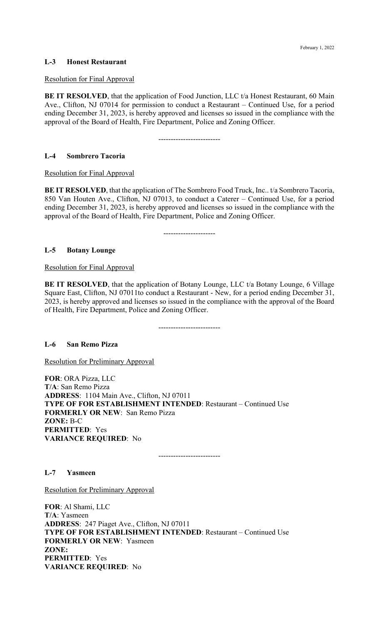## **L-3 Honest Restaurant**

#### Resolution for Final Approval

**BE IT RESOLVED**, that the application of Food Junction, LLC t/a Honest Restaurant, 60 Main Ave., Clifton, NJ 07014 for permission to conduct a Restaurant – Continued Use, for a period ending December 31, 2023, is hereby approved and licenses so issued in the compliance with the approval of the Board of Health, Fire Department, Police and Zoning Officer.

-------------------------

#### **L-4 Sombrero Tacoria**

Resolution for Final Approval

**BE IT RESOLVED**, that the application of The Sombrero Food Truck, Inc.. t/a Sombrero Tacoria, 850 Van Houten Ave., Clifton, NJ 07013, to conduct a Caterer – Continued Use, for a period ending December 31, 2023, is hereby approved and licenses so issued in the compliance with the approval of the Board of Health, Fire Department, Police and Zoning Officer.

---------------------

## **L-5 Botany Lounge**

Resolution for Final Approval

**BE IT RESOLVED**, that the application of Botany Lounge, LLC t/a Botany Lounge, 6 Village Square East, Clifton, NJ 07011to conduct a Restaurant - New, for a period ending December 31, 2023, is hereby approved and licenses so issued in the compliance with the approval of the Board of Health, Fire Department, Police and Zoning Officer.

-------------------------

#### **L-6 San Remo Pizza**

Resolution for Preliminary Approval

**FOR**: ORA Pizza, LLC **T/A**: San Remo Pizza **ADDRESS**: 1104 Main Ave., Clifton, NJ 07011 **TYPE OF FOR ESTABLISHMENT INTENDED**: Restaurant – Continued Use **FORMERLY OR NEW**: San Remo Pizza **ZONE:** B-C **PERMITTED**: Yes **VARIANCE REQUIRED**: No

-------------------------

**L-7 Yasmeen**

Resolution for Preliminary Approval

**FOR**: Al Shami, LLC **T/A**: Yasmeen **ADDRESS**: 247 Piaget Ave., Clifton, NJ 07011 **TYPE OF FOR ESTABLISHMENT INTENDED**: Restaurant – Continued Use **FORMERLY OR NEW**: Yasmeen **ZONE: PERMITTED**: Yes **VARIANCE REQUIRED**: No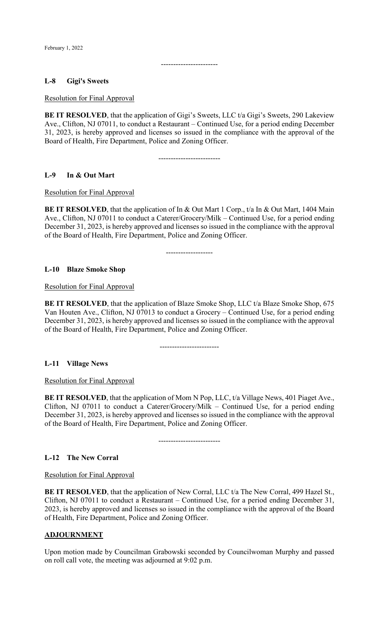### **L-8 Gigi's Sweets**

Resolution for Final Approval

**BE IT RESOLVED**, that the application of Gigi's Sweets, LLC t/a Gigi's Sweets, 290 Lakeview Ave., Clifton, NJ 07011, to conduct a Restaurant – Continued Use, for a period ending December 31, 2023, is hereby approved and licenses so issued in the compliance with the approval of the Board of Health, Fire Department, Police and Zoning Officer.

-----------------------

-------------------------

#### **L-9 In & Out Mart**

Resolution for Final Approval

**BE IT RESOLVED**, that the application of In & Out Mart 1 Corp., t/a In & Out Mart, 1404 Main Ave., Clifton, NJ 07011 to conduct a Caterer/Grocery/Milk – Continued Use, for a period ending December 31, 2023, is hereby approved and licenses so issued in the compliance with the approval of the Board of Health, Fire Department, Police and Zoning Officer.

-------------------

#### **L-10 Blaze Smoke Shop**

Resolution for Final Approval

**BE IT RESOLVED**, that the application of Blaze Smoke Shop, LLC t/a Blaze Smoke Shop, 675 Van Houten Ave., Clifton, NJ 07013 to conduct a Grocery – Continued Use, for a period ending December 31, 2023, is hereby approved and licenses so issued in the compliance with the approval of the Board of Health, Fire Department, Police and Zoning Officer.

------------------------

#### **L-11 Village News**

Resolution for Final Approval

**BE IT RESOLVED**, that the application of Mom N Pop, LLC, t/a Village News, 401 Piaget Ave., Clifton, NJ 07011 to conduct a Caterer/Grocery/Milk – Continued Use, for a period ending December 31, 2023, is hereby approved and licenses so issued in the compliance with the approval of the Board of Health, Fire Department, Police and Zoning Officer.

-------------------------

#### **L-12 The New Corral**

Resolution for Final Approval

**BE IT RESOLVED**, that the application of New Corral, LLC t/a The New Corral, 499 Hazel St., Clifton, NJ 07011 to conduct a Restaurant – Continued Use, for a period ending December 31, 2023, is hereby approved and licenses so issued in the compliance with the approval of the Board of Health, Fire Department, Police and Zoning Officer.

#### **ADJOURNMENT**

Upon motion made by Councilman Grabowski seconded by Councilwoman Murphy and passed on roll call vote, the meeting was adjourned at 9:02 p.m.